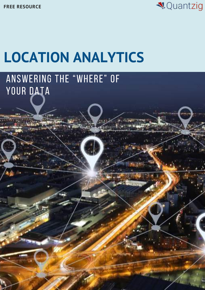**FREE RESOURCE**



# **LOCATION ANALYTICS**

### Answering the "where" of YOUR DATA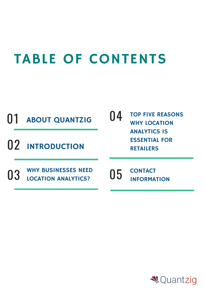## TABLE OF CONTENTS



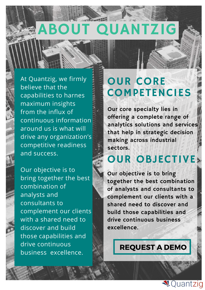# ABOUT QUANTZIG

At Quantzig, we firmly believe that the capabilities to harnes maximum insights from the influx of continuous information around us is what will drive any organization's competitive readiness and success.

Our objective is to bring together the best combination of analysts and consultants to complement our clients with a shared need to discover and build those capabilities and drive continuous business excellence.

#### OUR CORE COMPETENCIES

Our core specialty lies in offering a complete range of analytics solutions and services that help in strategic decision making across industrial sectors.

#### OUR OBJECTIVE

 $\mathbf{W}$ of analysts and consultants to complement our clients with a shared need to discover and build those capabilities and drive continuous business excellence. Our objective is to bring together the best combination

#### [REQUEST](https://www.quantzig.com/request-a-demo?utm_source=WP16&utm_medium=WPWeek16&utm_campaign=WPWeek16) A DEMO

**√**Quantzig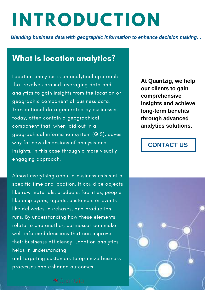# **INTRODUCTION**

*Blending business data with geographic information to enhance decision making…*

#### What is location analytics?

Location analytics is an analytical approach that revolves around leveraging data and analytics to gain insights from the location or geographic component of business data. Transactional data generated by businesses today, often contain a geographical component that, when laid out in a geographical information system (GIS), paves way for new dimensions of analysis and insights, in this case through a more visually engaging approach.

Almost everything about a business exists at a specific time and location. It could be objects like raw materials, products, facilities, people like employees, agents, customers or events like deliveries, purchases, and production runs. By understanding how these elements relate to one another, businesses can make well-informed decisions that can improve their businesss efficiency. Location analytics helps in understanding and targeting customers to optimize business processes and enhance outcomes.

**At Quantzig, we help our clients to gain comprehensive insights and achieve long-term benefits through advanced analytics solutions.**

#### **[CONTACT](https://www.quantzig.com/contact-us?utm_source=WP16&utm_medium=WPWeek16&utm_campaign=WPWeek16) US**



VQuantziq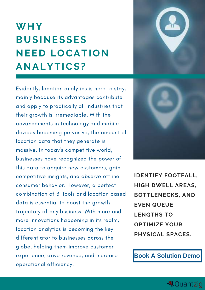## **WHY BUSINESSES NEED LOCATION ANALYTICS?**



Evidently, location analytics is here to stay, mainly because its advantages contribute and apply to practically all industries that their growth is irremediable. With the advancements in technology and mobile devices becoming pervasive, the amount of location data that they generate is massive. In today's competitive world, businesses have recognized the power of this data to acquire new customers, gain competitive insights, and observe offline consumer behavior. However, a perfect combination of BI tools and location based data is essential to boost the growth trajectory of any business. With more and more innovations happening in its realm, location analytics is becoming the key differentiator to businesses across the globe, helping them improve customer experience, drive revenue, and increase operational efficiency.



**IDENTIFY FOOTFALL, HIGH DWELL AREAS, BOTTLENECKS, AND EVEN QUEUE LENGTHS TO OPTIMIZE YOUR PHYSICAL SPACES.**

**Book A [Solution](https://www.quantzig.com/request-a-demo?utm_source=WP16&utm_medium=WPWeek16&utm_campaign=WPWeek16) Demo**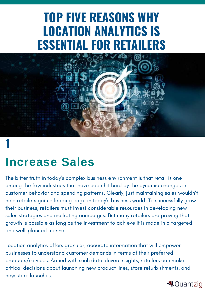## **TOP FIVE REASONS WHY LOCATION ANALYTICS IS ESSENTIAL FOR RETAILERS**



#### **1**

#### **Increase Sales**

The bitter truth in today's complex business environment is that retail is one among the few industries that have been hit hard by the dynamic changes in customer behavior and spending patterns. Clearly, just maintaining sales wouldn't help retailers gain a leading edge in today's business world. To successfully grow their business, retailers must invest considerable resources in developing new sales strategies and marketing campaigns. But many retailers are proving that growth is possible as long as the investment to achieve it is made in a targeted and well-planned manner.

Location analytics offers granular, accurate information that will empower businesses to understand customer demands in terms of their preferred products/services. Armed with such data-driven insights, retailers can make critical decisions about launching new product lines, store refurbishments, and new store launches.

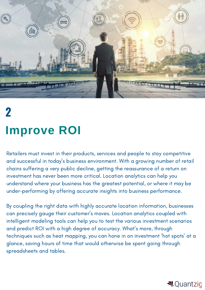

# **2 Improve ROI**

Retailers must invest in their products, services and people to stay competitive and successful in today's business environment. With a growing number of retail chains suffering a very public decline, getting the reassurance of a return on investment has never been more critical. Location analytics can help you understand where your business has the greatest potential, or where it may be under-performing by offering accurate insights into business performance.

By coupling the right data with highly accurate location information, businesses can precisely gauge their customer's moves. Location analytics coupled with intelligent modeling tools can help you to test the various investment scenarios and predict ROI with a high degree of accuracy. What's more, through techniques such as heat mapping, you can hone in on investment 'hot spots' at a glance, saving hours of time that would otherwise be spent going through spreadsheets and tables.

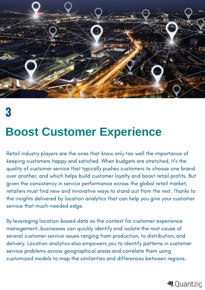

**3**

#### **Boost Customer Experience**

Retail industry players are the ones that know only too well the importance of keeping customers happy and satisfied. When budgets are stretched, it's the quality of customer service that typically pushes customers to choose one brand over another, and which helps build customer loyalty and boost retail profits. But given the consistency in service performance across the global retail market, retailers must find new and innovative ways to stand out from the rest. Thanks to the insights delivered by location analytics that can help you give your customer service that much-needed edge.

By leveraging location-based data as the context for customer experience management, businesses can quickly identify and isolate the root cause of several customer service issues ranging from production, to distribution, and delivery. Location analytics also empowers you to identify patterns in customer service problems across geographical areas and correlate them using customized models to map the similarities and differences between regions.

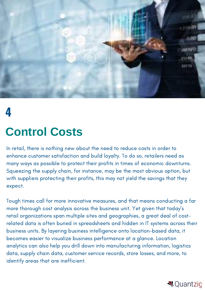

#### **4**

#### **Control Costs**

In retail, there is nothing new about the need to reduce costs in order to enhance customer satisfaction and build loyalty. To do so, retailers need as many ways as possible to protect their profits in times of economic downturns. Squeezing the supply chain, for instance, may be the most obvious option, but with suppliers protecting their profits, this may not yield the savings that they expect.

Tough times call for more innovative measures, and that means conducting a far more thorough cost analysis across the business unit. Yet given that today's retail organizations span multiple sites and geographies, a great deal of costrelated data is often buried in spreadsheets and hidden in IT systems across their business units. By layering business intelligence onto location-based data, it becomes easier to visualize business performance at a glance. Location analytics can also help you drill down into manufacturing information, logistics data, supply chain data, customer service records, store losses, and more, to identify areas that are inefficient.

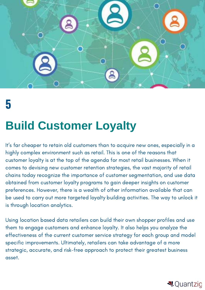

## **5**

## **Build Customer Loyalty**

It's far cheaper to retain old customers than to acquire new ones, especially in a highly complex environment such as retail. This is one of the reasons that customer loyalty is at the top of the agenda for most retail businesses. When it comes to devising new customer retention strategies, the vast majority of retail chains today recognize the importance of customer segmentation, and use data obtained from customer loyalty programs to gain deeper insights on customer preferences. However, there is a wealth of other information available that can be used to carry out more targeted loyalty building activities. The way to unlock it is through location analytics.

Using location based data retailers can build their own shopper profiles and use them to engage customers and enhance loyalty. It also helps you analyze the effectiveness of the current customer service strategy for each group and model specific improvements. Ultimately, retailers can take advantage of a more strategic, accurate, and risk-free approach to protect their greatest business asset.